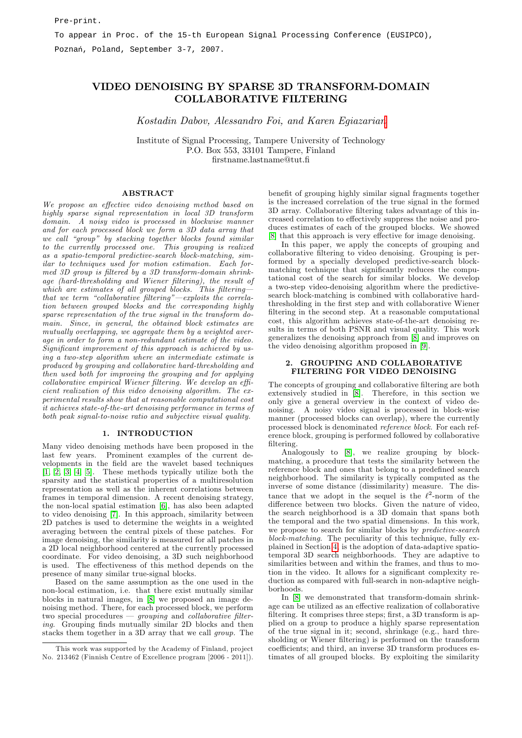# VIDEO DENOISING BY SPARSE 3D TRANSFORM-DOMAIN COLLABORATIVE FILTERING

Kostadin Dabov, Alessandro Foi, and Karen Egiazarian

Institute of Signal Processing, Tampere University of Technology P.O. Box 553, 33101 Tampere, Finland Örstname.lastname@tut.Ö

#### ABSTRACT

We propose an effective video denoising method based on highly sparse signal representation in local 3D transform domain. A noisy video is processed in blockwise manner and for each processed block we form a 3D data array that we call "group" by stacking together blocks found similar to the currently processed one. This grouping is realized as a spatio-temporal predictive-search block-matching, similar to techniques used for motion estimation. Each for $med$  3D group is filtered by a 3D transform-domain shrinkage (hard-thresholding and Wiener filtering), the result of which are estimates of all grouped blocks. This filtering– that we term "collaborative filtering"—exploits the correlation between grouped blocks and the corresponding highly sparse representation of the true signal in the transform domain. Since, in general, the obtained block estimates are mutually overlapping, we aggregate them by a weighted average in order to form a non-redundant estimate of the video. Significant improvement of this approach is achieved by using a two-step algorithm where an intermediate estimate is produced by grouping and collaborative hard-thresholding and then used both for improving the grouping and for applying  $collaborative\ empirical\ Wiener\ filtering. \ We\ develop\ an\ effi$ cient realization of this video denoising algorithm. The experimental results show that at reasonable computational cost it achieves state-of-the-art denoising performance in terms of both peak signal-to-noise ratio and subjective visual quality.

#### 1. INTRODUCTION

Many video denoising methods have been proposed in the last few years. Prominent examples of the current developments in the Öeld are the wavelet based techniques  $[1, 2, 3, 4, 5]$  $[1, 2, 3, 4, 5]$  $[1, 2, 3, 4, 5]$  $[1, 2, 3, 4, 5]$  $[1, 2, 3, 4, 5]$ . These methods typically utilize both the sparsity and the statistical properties of a multiresolution representation as well as the inherent correlations between frames in temporal dimension. A recent denoising strategy, the non-local spatial estimation [\[6\]](#page-3-5), has also been adapted to video denoising [\[7\]](#page-3-6). In this approach, similarity between 2D patches is used to determine the weights in a weighted averaging between the central pixels of these patches. For image denoising, the similarity is measured for all patches in a 2D local neighborhood centered at the currently processed coordinate. For video denoising, a 3D such neighborhood is used. The effectiveness of this method depends on the presence of many similar true-signal blocks.

Based on the same assumption as the one used in the non-local estimation, i.e. that there exist mutually similar blocks in natural images, in [\[8\]](#page-3-7) we proposed an image denoising method. There, for each processed block, we perform two special procedures  $-$  grouping and collaborative filtering. Grouping finds mutually similar 2D blocks and then stacks them together in a 3D array that we call group. The benefit of grouping highly similar signal fragments together is the increased correlation of the true signal in the formed 3D array. Collaborative filtering takes advantage of this increased correlation to effectively suppress the noise and produces estimates of each of the grouped blocks. We showed [\[8\]](#page-3-7) that this approach is very effective for image denoising.

In this paper, we apply the concepts of grouping and collaborative filtering to video denoising. Grouping is performed by a specially developed predictive-search blockmatching technique that significantly reduces the computational cost of the search for similar blocks. We develop a two-step video-denoising algorithm where the predictivesearch block-matching is combined with collaborative hardthresholding in the first step and with collaborative Wiener filtering in the second step. At a reasonable computational cost, this algorithm achieves state-of-the-art denoising results in terms of both PSNR and visual quality. This work generalizes the denoising approach from [\[8\]](#page-3-7) and improves on the video denoising algorithm proposed in [\[9\]](#page-3-8).

#### 2. GROUPING AND COLLABORATIVE FILTERING FOR VIDEO DENOISING

The concepts of grouping and collaborative filtering are both extensively studied in [\[8\]](#page-3-7). Therefore, in this section we only give a general overview in the context of video denoising. A noisy video signal is processed in block-wise manner (processed blocks can overlap), where the currently processed block is denominated reference block. For each reference block, grouping is performed followed by collaborative filtering.

Analogously to [\[8\]](#page-3-7), we realize grouping by blockmatching, a procedure that tests the similarity between the reference block and ones that belong to a predefined search neighborhood. The similarity is typically computed as the inverse of some distance (dissimilarity) measure. The distance that we adopt in the sequel is the  $\ell^2$ -norm of the difference between two blocks. Given the nature of video, the search neighborhood is a 3D domain that spans both the temporal and the two spatial dimensions. In this work, we propose to search for similar blocks by predictive-search block-matching. The peculiarity of this technique, fully explained in Section [4,](#page-1-0) is the adoption of data-adaptive spatiotemporal 3D search neighborhoods. They are adaptive to similarities between and within the frames, and thus to motion in the video. It allows for a significant complexity reduction as compared with full-search in non-adaptive neighborhoods.

In [\[8\]](#page-3-7) we demonstrated that transform-domain shrinkage can be utilized as an effective realization of collaborative filtering. It comprises three steps; first, a 3D transform is applied on a group to produce a highly sparse representation of the true signal in it; second, shrinkage (e.g., hard thresholding or Wiener filtering) is performed on the transform coefficients; and third, an inverse 3D transform produces estimates of all grouped blocks. By exploiting the similarity

This work was supported by the Academy of Finland, project No. 213462 (Finnish Centre of Excellence program [2006 - 2011]).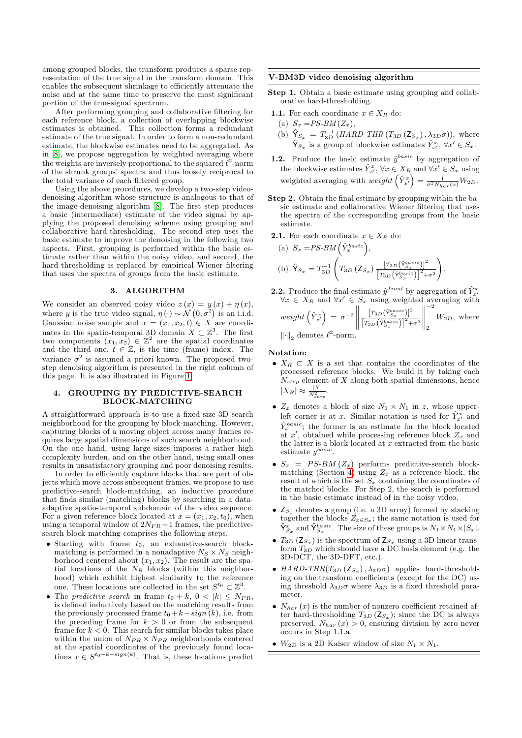among grouped blocks, the transform produces a sparse representation of the true signal in the transform domain. This enables the subsequent shrinkage to efficiently attenuate the noise and at the same time to preserve the most significant portion of the true-signal spectrum.

After performing grouping and collaborative filtering for each reference block, a collection of overlapping blockwise estimates is obtained. This collection forms a redundant estimate of the true signal. In order to form a non-redundant estimate, the blockwise estimates need to be aggregated. As in [\[8\]](#page-3-7), we propose aggregation by weighted averaging where the weights are inversely proportional to the squared  $\ell^2$ -norm of the shrunk groups' spectra and thus loosely reciprocal to the total variance of each filtered group.

Using the above procedures, we develop a two-step videodenoising algorithm whose structure is analogous to that of the image-denoising algorithm [\[8\]](#page-3-7). The first step produces a basic (intermediate) estimate of the video signal by applying the proposed denoising scheme using grouping and collaborative hard-thresholding. The second step uses the basic estimate to improve the denoising in the following two aspects. First, grouping is performed within the basic estimate rather than within the noisy video, and second, the hard-thresholding is replaced by empirical Wiener filtering that uses the spectra of groups from the basic estimate.

## 3. ALGORITHM

We consider an observed noisy video  $z(x) = y(x) + \eta(x)$ , where y is the true video signal,  $\eta(\cdot) \sim \mathcal{N}(0, \sigma^2)$  is an i.i.d. Gaussian noise sample and  $x = (x_1, x_2, t) \in X$  are coordinates in the spatio-temporal 3D domain  $X \subset \mathbb{Z}^3$ . The first two components  $(x_1, x_2) \in \mathbb{Z}^2$  are the spatial coordinates and the third one,  $t \in \mathbb{Z}$ , is the time (frame) index. The variance  $\sigma^2$  is assumed a priori known. The proposed twostep denoising algorithm is presented in the right column of this page. It is also illustrated in Figure [1.](#page-2-0)

### <span id="page-1-0"></span>4. GROUPING BY PREDICTIVE-SEARCH BLOCK-MATCHING

A straightforward approach is to use a fixed-size 3D search neighborhood for the grouping by block-matching. However, capturing blocks of a moving object across many frames requires large spatial dimensions of such search neighborhood. On the one hand, using large sizes imposes a rather high complexity burden, and on the other hand, using small ones results in unsatisfactory grouping and poor denoising results.

In order to efficiently capture blocks that are part of objects which move across subsequent frames, we propose to use predictive-search block-matching, an inductive procedure that finds similar (matching) blocks by searching in a dataadaptive spatio-temporal subdomain of the video sequence. For a given reference block located at  $x = (x_1, x_2, t_0)$ , when using a temporal window of  $2N_{FR}+1$  frames, the predictivesearch block-matching comprises the following steps.

- Starting with frame  $t_0$ , an exhaustive-search blockmatching is performed in a nonadaptive  $N_S \times N_S$  neighborhood centered about  $(x_1, x_2)$ . The result are the spatial locations of the  $N_B$  blocks (within this neighborhood) which exhibit highest similarity to the reference one. These locations are collected in the set  $S^{t_0} \subset \mathbb{Z}^3$ .
- The predictive search in frame  $t_0 + k$ ,  $0 < |k| \leq N_{FR}$ , is defined inductively based on the matching results from the previously processed frame  $t_0 + k - sign(k)$ , i.e. from the preceding frame for  $k > 0$  or from the subsequent frame for  $k < 0$ . This search for similar blocks takes place within the union of  $N_{PR} \times N_{PR}$  neighborhoods centered at the spatial coordinates of the previously found locations  $x \in S^{t_0+k-sign(k)}$ . That is, these locations predict

#### V-BM3D video denoising algorithm

- Step 1. Obtain a basic estimate using grouping and collaborative hard-thresholding.
- **1.1.** For each coordinate  $x \in X_R$  do:
- (a)  $S_x = PS\text{-}BM(Z_x),$
- (b)  $\hat{\mathsf{Y}}_{S_x} = T_{3D}^{-1} (HARD\text{-}THR (T_{3D} (Z_{S_x}), \lambda_{3D}\sigma))$ , where  $\hat{\mathsf{Y}}_{S_x}$  is a group of blockwise estimates  $\hat{Y}^x_{x'}$ ,  $\forall x' \in S_x$ .
- **1.2.** Produce the basic estimate  $\hat{y}^{basic}$  by aggregation of the blockwise estimates  $\hat{Y}_{x'}^x, \forall x \in X_R$  and  $\forall x' \in S_x$  using weighted averaging with  $weight\left(\hat{Y}_{x'}^{x}\right) = \frac{1}{\sigma^2 N_{har}(x)}W_{2D}$ .
- Step 2. Obtain the final estimate by grouping within the basic estimate and collaborative Wiener filtering that uses the spectra of the corresponding groups from the basic estimate.
- **2.1.** For each coordinate  $x \in X_R$  do:

(a) 
$$
S_x = PS\text{-}BM\left(\hat{Y}_x^{basic}\right)
$$
,  
\n(b)  $\hat{Y}_{S_x} = T_{3D}^{-1}\left(T_{3D}\left(Z_{S_x}\right)\frac{[T_{3D}\left(\hat{Y}_{S_x}^{basic}\right)]^2}{[T_{3D}\left(\hat{Y}_{S_x}^{basic}\right)]^2 + \sigma^2}\right)$ .

**2.2.** Produce the final estimate  $\hat{y}^{final}$  by aggregation of  $\hat{Y}^x_{x'}$ <br>  $\forall x \in X_R$  and  $\forall x' \in S_x$  using weighted averaging with  $weight\left(\hat{Y}_{x'}^x\right) = \sigma^{-2}$   $\frac{\left[T_{3D}\left(\hat{\mathbf{Y}}_{S_x}^{basic}\right)\right]^2}{\left[T_{3D}\left(\hat{\mathbf{Y}}_{S_x}^{basic}\right)\right]^2+\sigma^2}$   $^{-2}$ 2  $W_{2D}$ , where  $\left\Vert \cdot \right\Vert_2$  denotes  $\ell^2$ -norm.

Notation:

- $X_R \subset X$  is a set that contains the coordinates of the processed reference blocks. We build it by taking each  $N_{step}$  element of X along both spatial dimensions, hence  $|X_R| \approx \frac{|X|}{N_{step}^2}$ .
- $Z_x$  denotes a block of size  $N_1 \times N_1$  in z, whose upperleft corner is at x. Similar notation is used for  $\hat{Y}^x_{x'}$  and  $\hat{Y}^{basic}_{x}$ ; the former is an estimate for the block located at  $x'$ , obtained while processing reference block  $Z_x$  and the latter is a block located at  $x$  extracted from the basic estimate  $y^{basic}$ .
- $S_x = PS-BM (Z_x)$  performs predictive-search block-matching (Section [4\)](#page-1-0) using  $Z_x$  as a reference block, the result of which is the set  $S_x$  containing the coordinates of the matched blocks. For Step 2, the search is performed in the basic estimate instead of in the noisy video.
- $\mathsf{Z}_{S_x}$  denotes a group (i.e. a 3D array) formed by stacking together the blocks  $Z_{x \in S_x}$ ; the same notation is used for  $\hat{\mathsf{Y}}_{S_x}^x$  and  $\hat{\mathsf{Y}}_{S_x}^{basic}$ . The size of these groups is  $N_1 \times N_1 \times |S_x|$ .
- $T_{3D}$  ( $Z_{S_x}$ ) is the spectrum of  $Z_{S_x}$  using a 3D linear transform  $T_{3D}$  which should have a DC basis element (e.g. the 3D-DCT, the 3D-DFT, etc.).
- $HARD\text{-}THR(T_{3D} (Z_{S_x}), \lambda_{3D}\sigma)$  applies hard-thresholding on the transform coefficients (except for the  $DC$ ) using threshold  $\lambda_{3D}\sigma$  where  $\lambda_{3D}$  is a fixed threshold parameter.
- $N_{har}(x)$  is the number of nonzero coefficient retained after hard-thresholding  $T_{3D}$  ( $\mathsf{Z}_{S_x}$ ); since the DC is always preserved,  $N_{har}(x) > 0$ , ensuring division by zero never occurs in Step 1.1.a.
- $W_{2D}$  is a 2D Kaiser window of size  $N_1 \times N_1$ .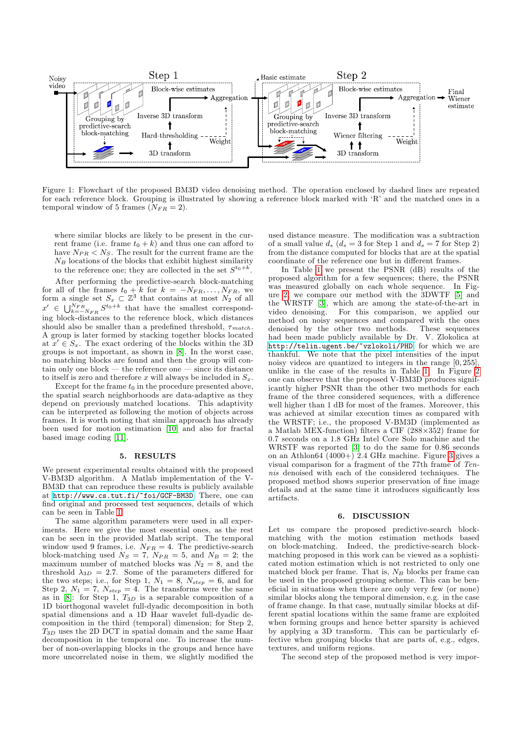

Figure 1: Flowchart of the proposed BM3D video denoising method. The operation enclosed by dashed lines are repeated for each reference block. Grouping is illustrated by showing a reference block marked with 'R' and the matched ones in a temporal window of 5 frames  $(N_{FR} = 2)$ .

where similar blocks are likely to be present in the current frame (i.e. frame  $t_0 + k$ ) and thus one can afford to have  $N_{PR} < N_S$ . The result for the current frame are the  $N_B$  locations of the blocks that exhibit highest similarity to the reference one; they are collected in the set  $S^{t_0+k}$ .

After performing the predictive-search block-matching for all of the frames  $t_0 + k$  for  $k = -N_{FR}, \ldots, N_{FR}$ , we form a single set  $S_x \subset \mathbb{Z}^3$  that contains at most  $N_2$  of all  $x' \in \bigcup_{k=-N_{FR}}^{N_{FR}} S^{t_0+k}$  that have the smallest corresponding block-distances to the reference block, which distances should also be smaller than a predefined threshold,  $\tau_{match}$ . A group is later formed by stacking together blocks located at  $x' \in S_x$ . The exact ordering of the blocks within the 3D groups is not important, as shown in [\[8\]](#page-3-7). In the worst case, no matching blocks are found and then the group will contain only one block  $-$  the reference one  $-$  since its distance to itself is zero and therefore x will always be included in  $S_x$ .

Except for the frame  $t_0$  in the procedure presented above, the spatial search neighborhoods are data-adaptive as they depend on previously matched locations. This adaptivity can be interpreted as following the motion of objects across frames. It is worth noting that similar approach has already been used for motion estimation [\[10\]](#page-3-9) and also for fractal based image coding [\[11\]](#page-3-10).

#### 5. RESULTS

We present experimental results obtained with the proposed V-BM3D algorithm. A Matlab implementation of the V-BM3D that can reproduce these results is publicly available at <http://www.cs.tut.fi/~foi/GCF-BM3D>. There, one can find original and processed test sequences, details of which can be seen in Table [1.](#page-3-11)

The same algorithm parameters were used in all experiments. Here we give the most essential ones, as the rest can be seen in the provided Matlab script. The temporal window used 9 frames, i.e.  $N_{FR} = 4$ . The predictive-search block-matching used  $N_S = 7$ ,  $N_{PR} = 5$ , and  $N_B = 2$ ; the maximum number of matched blocks was  $N_2 = 8$ , and the threshold  $\lambda_{3D} = 2.7$ . Some of the parameters differed for the two steps; i.e., for Step 1,  $N_1 = 8$ ,  $N_{step} = 6$ , and for Step 2,  $N_1 = 7$ ,  $N_{step} = 4$ . The transforms were the same as in  $[8]$ : for Step 1,  $T_{3D}$  is a separable composition of a 1D biorthogonal wavelet full-dyadic decomposition in both spatial dimensions and a 1D Haar wavelet full-dyadic decomposition in the third (temporal) dimension; for Step 2, T3<sup>D</sup> uses the 2D DCT in spatial domain and the same Haar decomposition in the temporal one. To increase the number of non-overlapping blocks in the groups and hence have more uncorrelated noise in them, we slightly modified the

<span id="page-2-0"></span>used distance measure. The modification was a subtraction of a small value  $d_s$  ( $d_s = 3$  for Step 1 and  $d_s = 7$  for Step 2) from the distance computed for blocks that are at the spatial coordinate of the reference one but in different frames.

In Table [1](#page-3-11) we present the PSNR (dB) results of the proposed algorithm for a few sequences; there, the PSNR was measured globally on each whole sequence. In Figure [2,](#page-4-0) we compare our method with the 3DWTF [\[5\]](#page-3-4) and the WRSTF [\[3\]](#page-3-2), which are among the state-of-the-art in video denoising. For this comparison, we applied our method on noisy sequences and compared with the ones denoised by the other two methods. These sequences denoised by the other two methods. had been made publicly available by Dr. V. Zlokolica at <http://telin.ugent.be/~vzlokoli/PHD>, for which we are thankful. We note that the pixel intensities of the input noisy videos are quantized to integers in the range [0; 255], unlike in the case of the results in Table [1.](#page-3-11) In Figure [2](#page-4-0) one can observe that the proposed V-BM3D produces significantly higher PSNR than the other two methods for each frame of the three considered sequences, with a difference well higher than 1 dB for most of the frames. Moreover, this was achieved at similar execution times as compared with the WRSTF; i.e., the proposed V-BM3D (implemented as a Matlab MEX-function) filters a CIF  $(288\times352)$  frame for 0.7 seconds on a 1.8 GHz Intel Core Solo machine and the WRSTF was reported [\[3\]](#page-3-2) to do the same for 0.86 seconds on an Athlon64  $(4000+)$  2.4 GHz machine. Figure [3](#page-4-1) gives a visual comparison for a fragment of the 77th frame of Tennis denoised with each of the considered techniques. The proposed method shows superior preservation of fine image details and at the same time it introduces significantly less artifacts.

#### 6. DISCUSSION

Let us compare the proposed predictive-search blockmatching with the motion estimation methods based on block-matching. Indeed, the predictive-search blockmatching proposed in this work can be viewed as a sophisticated motion estimation which is not restricted to only one matched block per frame. That is,  $N_B$  blocks per frame can be used in the proposed grouping scheme. This can be beneficial in situations when there are only very few (or none) similar blocks along the temporal dimension, e.g. in the case of frame change. In that case, mutually similar blocks at different spatial locations within the same frame are exploited when forming groups and hence better sparsity is achieved by applying a 3D transform. This can be particularly effective when grouping blocks that are parts of, e.g., edges, textures, and uniform regions.

The second step of the proposed method is very impor-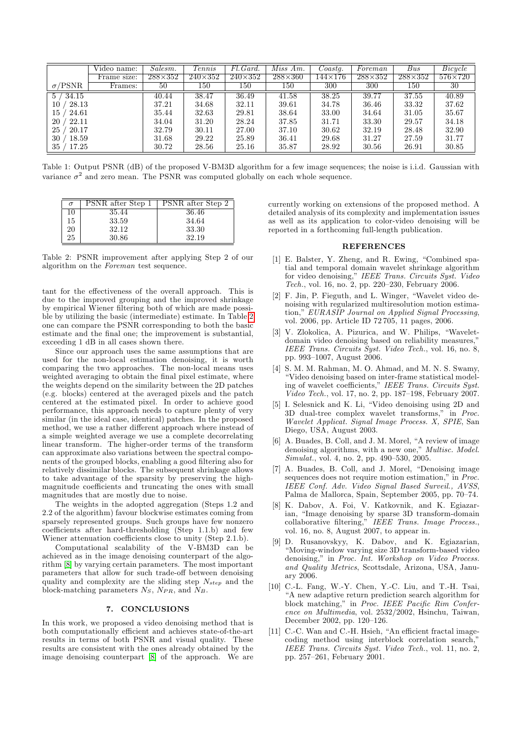|                | Video name: | Salesm.        | Tennis         | Fl.Gard.       | Miss Am.       | $\textit{Coast}_4$ . | Foreman        | Bus            | Bicycle        |
|----------------|-------------|----------------|----------------|----------------|----------------|----------------------|----------------|----------------|----------------|
|                | Frame size: | $288\times352$ | $240\times352$ | $240\times352$ | $288\times360$ | 144×176              | $288\times352$ | $288\times352$ | $576\times720$ |
| $\sigma$ /PSNR | Frames:     | 50             | $150\,$        | $150\,$        | $150\,$        | 300                  | 300            | $150\,$        | 30             |
| 34.15<br>5.    |             | 40.44          | 38.47          | 36.49          | 41.58          | 38.25                | 39.77          | 37.55          | 40.89          |
| 28.13<br>10    |             | 37.21          | 34.68          | 32.11          | 39.61          | 34.78                | 36.46          | 33.32          | 37.62          |
| 15<br>24.61    |             | 35.44          | 32.63          | 29.81          | 38.64          | 33.00                | 34.64          | 31.05          | 35.67          |
| 20<br>22.11    |             | 34.04          | 31.20          | 28.24          | 37.85          | 31.71                | 33.30          | 29.57          | 34.18          |
| 25<br>20.17    |             | 32.79          | 30.11          | 27.00          | 37.10          | 30.62                | 32.19          | 28.48          | 32.90          |
| 18.59<br>30    |             | 31.68          | 29.22          | 25.89          | 36.41          | 29.68                | 31.27          | 27.59          | 31.77          |
| 35<br>17.25    |             | 30.72          | 28.56          | 25.16          | 35.87          | 28.92                | 30.56          | 26.91          | 30.85          |

Table 1: Output PSNR (dB) of the proposed V-BM3D algorithm for a few image sequences; the noise is i.i.d. Gaussian with variance  $\sigma^2$  and zero mean. The PSNR was computed globally on each whole sequence.

| $\sigma$ | PSNR after Step 1 | PSNR after Step 2 |
|----------|-------------------|-------------------|
| 10       | 35.44             | 36.46             |
| 15       | 33.59             | 34.64             |
| 20       | 32.12             | 33.30             |
| 25       | 30.86             | 32.19             |

Table 2: PSNR improvement after applying Step 2 of our algorithm on the Foreman test sequence.

tant for the effectiveness of the overall approach. This is due to the improved grouping and the improved shrinkage by empirical Wiener Öltering both of which are made possible by utilizing the basic (intermediate) estimate. In Table [2](#page-3-12) one can compare the PSNR corresponding to both the basic estimate and the final one; the improvement is substantial, exceeding 1 dB in all cases shown there.

Since our approach uses the same assumptions that are used for the non-local estimation denoising, it is worth comparing the two approaches. The non-local means uses weighted averaging to obtain the final pixel estimate, where the weights depend on the similarity between the 2D patches (e.g. blocks) centered at the averaged pixels and the patch centered at the estimated pixel. In order to achieve good performance, this approach needs to capture plenty of very similar (in the ideal case, identical) patches. In the proposed method, we use a rather different approach where instead of a simple weighted average we use a complete decorrelating linear transform. The higher-order terms of the transform can approximate also variations between the spectral components of the grouped blocks, enabling a good filtering also for relatively dissimilar blocks. The subsequent shrinkage allows to take advantage of the sparsity by preserving the highmagnitude coefficients and truncating the ones with small magnitudes that are mostly due to noise.

The weights in the adopted aggregation (Steps 1.2 and 2.2 of the algorithm) favour blockwise estimates coming from sparsely represented groups. Such groups have few nonzero coefficients after hard-thresholding  $(Step 1.1.b)$  and few Wiener attenuation coefficients close to unity (Step 2.1.b).

Computational scalability of the V-BM3D can be achieved as in the image denoising counterpart of the algorithm [\[8\]](#page-3-7) by varying certain parameters. The most important parameters that allow for such trade-off between denoising quality and complexity are the sliding step  $N_{step}$  and the block-matching parameters  $N_S$ ,  $N_{PR}$ , and  $N_B$ .

# 7. CONCLUSIONS

In this work, we proposed a video denoising method that is both computationally efficient and achieves state-of-the-art results in terms of both PSNR and visual quality. These results are consistent with the ones already obtained by the image denoising counterpart [\[8\]](#page-3-7) of the approach. We are <span id="page-3-12"></span>currently working on extensions of the proposed method. A detailed analysis of its complexity and implementation issues as well as its application to color-video denoising will be reported in a forthcoming full-length publication.

#### <span id="page-3-11"></span>REFERENCES

- <span id="page-3-0"></span>[1] E. Balster, Y. Zheng, and R. Ewing, "Combined spatial and temporal domain wavelet shrinkage algorithm for video denoising," IEEE Trans. Circuits Syst. Video Tech., vol. 16, no. 2, pp. 220–230, February 2006.
- <span id="page-3-1"></span> $[2]$  F. Jin, P. Fieguth, and L. Winger, "Wavelet video denoising with regularized multiresolution motion estimation," EURASIP Journal on Applied Signal Processing, vol. 2006, pp. Article ID 72 705, 11 pages, 2006.
- <span id="page-3-2"></span>[3] V. Zlokolica, A. Pizurica, and W. Philips, "Waveletdomain video denoising based on reliability measures," IEEE Trans. Circuits Syst. Video Tech., vol. 16, no. 8, pp. 993-1007, August 2006.
- <span id="page-3-3"></span>[4] S. M. M. Rahman, M. O. Ahmad, and M. N. S. Swamy, ìVideo denoising based on inter-frame statistical modeling of wavelet coefficients," IEEE Trans. Circuits Syst. Video Tech., vol. 17, no. 2, pp. 187-198, February 2007.
- <span id="page-3-4"></span>[5] I. Selesnick and K. Li, "Video denoising using 2D and  $3D$  dual-tree complex wavelet transforms," in Proc. Wavelet Applicat. Signal Image Process. X, SPIE, San Diego, USA, August 2003.
- <span id="page-3-5"></span>[6] A. Buades, B. Coll, and J. M. Morel, "A review of image denoising algorithms, with a new one," Multisc. Model.  $Simulat., vol. 4, no. 2, pp. 490-530, 2005.$
- <span id="page-3-6"></span>[7] A. Buades, B. Coll, and J. Morel, "Denoising image sequences does not require motion estimation," in  $Proc.$ IEEE Conf. Adv. Video Signal Based Surveil., AVSS, Palma de Mallorca, Spain, September 2005, pp. 70–74.
- <span id="page-3-7"></span>[8] K. Dabov, A. Foi, V. Katkovnik, and K. Egiazarian, "Image denoising by sparse 3D transform-domain collaborative filtering," IEEE Trans. Image Process., vol. 16, no. 8, August 2007, to appear in.
- <span id="page-3-8"></span>[9] D. Rusanovskyy, K. Dabov, and K. Egiazarian, ìMoving-window varying size 3D transform-based video denoising," in Proc. Int. Workshop on Video Process. and Quality Metrics, Scottsdale, Arizona, USA, January 2006.
- <span id="page-3-9"></span>[10] C.-L. Fang, W.-Y. Chen, Y.-C. Liu, and T.-H. Tsai, ìA new adaptive return prediction search algorithm for block matching," in Proc. IEEE Pacific Rim Conference on Multimedia, vol. 2532/2002, Hsinchu, Taiwan, December 2002, pp. 120-126.
- <span id="page-3-10"></span> $[11]$  C.-C. Wan and C.-H. Hsieh, "An efficient fractal imagecoding method using interblock correlation search," IEEE Trans. Circuits Syst. Video Tech., vol. 11, no. 2, pp. 257-261, February 2001.